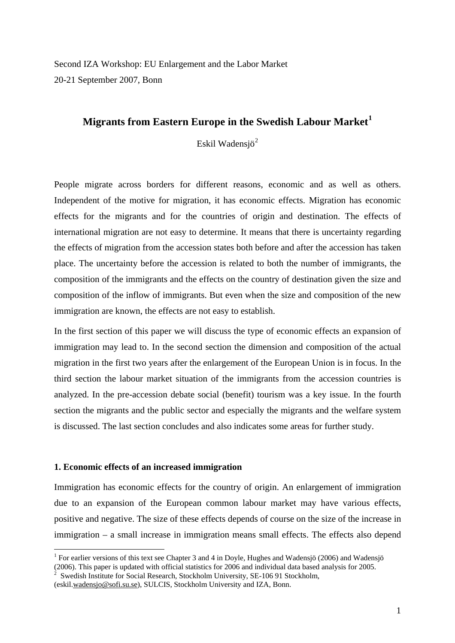Second IZA Workshop: EU Enlargement and the Labor Market 20-21 September 2007, Bonn

# **Migrants from Eastern Europe in the Swedish Labour Market[1](#page-0-0)**

Eskil Wadensjö<sup>[2](#page-0-1)</sup>

People migrate across borders for different reasons, economic and as well as others. Independent of the motive for migration, it has economic effects. Migration has economic effects for the migrants and for the countries of origin and destination. The effects of international migration are not easy to determine. It means that there is uncertainty regarding the effects of migration from the accession states both before and after the accession has taken place. The uncertainty before the accession is related to both the number of immigrants, the composition of the immigrants and the effects on the country of destination given the size and composition of the inflow of immigrants. But even when the size and composition of the new immigration are known, the effects are not easy to establish.

In the first section of this paper we will discuss the type of economic effects an expansion of immigration may lead to. In the second section the dimension and composition of the actual migration in the first two years after the enlargement of the European Union is in focus. In the third section the labour market situation of the immigrants from the accession countries is analyzed. In the pre-accession debate social (benefit) tourism was a key issue. In the fourth section the migrants and the public sector and especially the migrants and the welfare system is discussed. The last section concludes and also indicates some areas for further study.

## **1. Economic effects of an increased immigration**

1

Immigration has economic effects for the country of origin. An enlargement of immigration due to an expansion of the European common labour market may have various effects, positive and negative. The size of these effects depends of course on the size of the increase in immigration – a small increase in immigration means small effects. The effects also depend

<span id="page-0-0"></span><sup>&</sup>lt;sup>1</sup> For earlier versions of this text see Chapter 3 and 4 in Doyle, Hughes and Wadensjö (2006) and Wadensjö (2006). This paper is updated with official statistics for 2006 and individual data based analysis for 2005.

<span id="page-0-1"></span><sup>2</sup> Swedish Institute for Social Research, Stockholm University, SE-106 91 Stockholm,

<sup>(</sup>eskil.[wadensjo@sofi.su.se\)](mailto:wadensjo@sofi.su.se), SULCIS, Stockholm University and IZA, Bonn.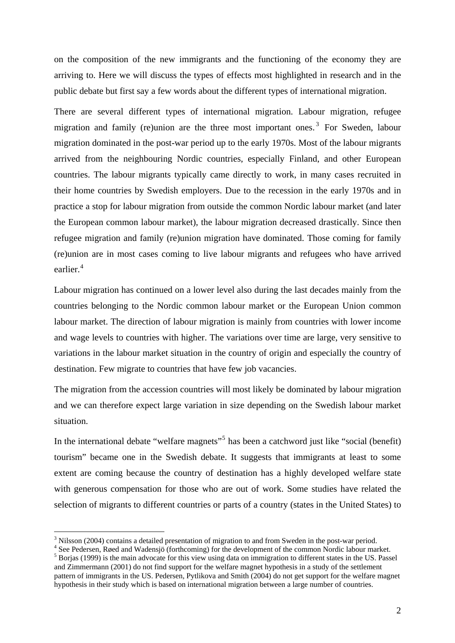on the composition of the new immigrants and the functioning of the economy they are arriving to. Here we will discuss the types of effects most highlighted in research and in the public debate but first say a few words about the different types of international migration.

There are several different types of international migration. Labour migration, refugee migration and family (re)union are the three most important ones.<sup>[3](#page-1-0)</sup> For Sweden, labour migration dominated in the post-war period up to the early 1970s. Most of the labour migrants arrived from the neighbouring Nordic countries, especially Finland, and other European countries. The labour migrants typically came directly to work, in many cases recruited in their home countries by Swedish employers. Due to the recession in the early 1970s and in practice a stop for labour migration from outside the common Nordic labour market (and later the European common labour market), the labour migration decreased drastically. Since then refugee migration and family (re)union migration have dominated. Those coming for family (re)union are in most cases coming to live labour migrants and refugees who have arrived earlier.<sup>[4](#page-1-1)</sup>

Labour migration has continued on a lower level also during the last decades mainly from the countries belonging to the Nordic common labour market or the European Union common labour market. The direction of labour migration is mainly from countries with lower income and wage levels to countries with higher. The variations over time are large, very sensitive to variations in the labour market situation in the country of origin and especially the country of destination. Few migrate to countries that have few job vacancies.

The migration from the accession countries will most likely be dominated by labour migration and we can therefore expect large variation in size depending on the Swedish labour market situation.

In the international debate "welfare magnets"<sup>[5](#page-1-2)</sup> has been a catchword just like "social (benefit) tourism" became one in the Swedish debate. It suggests that immigrants at least to some extent are coming because the country of destination has a highly developed welfare state with generous compensation for those who are out of work. Some studies have related the selection of migrants to different countries or parts of a country (states in the United States) to

<span id="page-1-0"></span> $3$  Nilsson (2004) contains a detailed presentation of migration to and from Sweden in the post-war period.

<span id="page-1-1"></span><sup>&</sup>lt;sup>4</sup> See Pedersen, Røed and Wadensjö (forthcoming) for the development of the common Nordic labour market.

<span id="page-1-2"></span><sup>&</sup>lt;sup>5</sup> Borias (1999) is the main advocate for this view using data on immigration to different states in the US. Passel and Zimmermann (2001) do not find support for the welfare magnet hypothesis in a study of the settlement pattern of immigrants in the US. Pedersen, Pytlikova and Smith (2004) do not get support for the welfare magnet hypothesis in their study which is based on international migration between a large number of countries.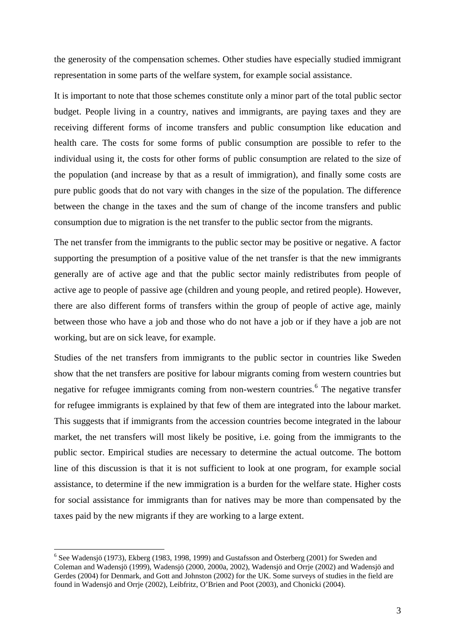the generosity of the compensation schemes. Other studies have especially studied immigrant representation in some parts of the welfare system, for example social assistance.

It is important to note that those schemes constitute only a minor part of the total public sector budget. People living in a country, natives and immigrants, are paying taxes and they are receiving different forms of income transfers and public consumption like education and health care. The costs for some forms of public consumption are possible to refer to the individual using it, the costs for other forms of public consumption are related to the size of the population (and increase by that as a result of immigration), and finally some costs are pure public goods that do not vary with changes in the size of the population. The difference between the change in the taxes and the sum of change of the income transfers and public consumption due to migration is the net transfer to the public sector from the migrants.

The net transfer from the immigrants to the public sector may be positive or negative. A factor supporting the presumption of a positive value of the net transfer is that the new immigrants generally are of active age and that the public sector mainly redistributes from people of active age to people of passive age (children and young people, and retired people). However, there are also different forms of transfers within the group of people of active age, mainly between those who have a job and those who do not have a job or if they have a job are not working, but are on sick leave, for example.

Studies of the net transfers from immigrants to the public sector in countries like Sweden show that the net transfers are positive for labour migrants coming from western countries but negative for refugee immigrants coming from non-western countries.<sup>[6](#page-2-0)</sup> The negative transfer for refugee immigrants is explained by that few of them are integrated into the labour market. This suggests that if immigrants from the accession countries become integrated in the labour market, the net transfers will most likely be positive, i.e. going from the immigrants to the public sector. Empirical studies are necessary to determine the actual outcome. The bottom line of this discussion is that it is not sufficient to look at one program, for example social assistance, to determine if the new immigration is a burden for the welfare state. Higher costs for social assistance for immigrants than for natives may be more than compensated by the taxes paid by the new migrants if they are working to a large extent.

<span id="page-2-0"></span> $6$  See Wadensjö (1973), Ekberg (1983, 1998, 1999) and Gustafsson and Österberg (2001) for Sweden and Coleman and Wadensjö (1999), Wadensjö (2000, 2000a, 2002), Wadensjö and Orrje (2002) and Wadensjö and Gerdes (2004) for Denmark, and Gott and Johnston (2002) for the UK. Some surveys of studies in the field are found in Wadensjö and Orrje (2002), Leibfritz, O'Brien and Poot (2003), and Chonicki (2004).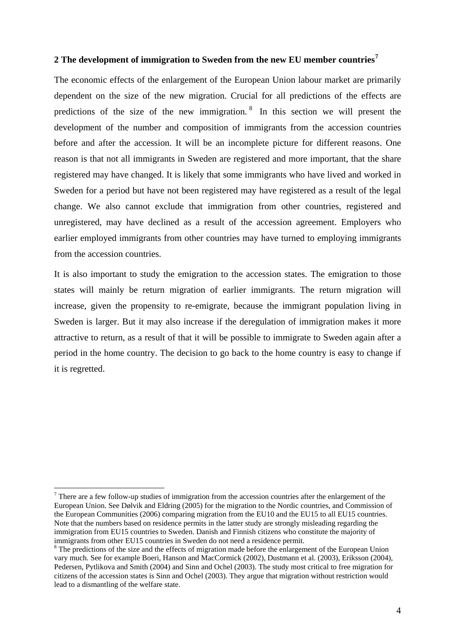## **2 The development of immigration to Sweden from the new EU member countries[7](#page-3-0)**

The economic effects of the enlargement of the European Union labour market are primarily dependent on the size of the new migration. Crucial for all predictions of the effects are predictions of the size of the new immigration. [8](#page-3-1) In this section we will present the development of the number and composition of immigrants from the accession countries before and after the accession. It will be an incomplete picture for different reasons. One reason is that not all immigrants in Sweden are registered and more important, that the share registered may have changed. It is likely that some immigrants who have lived and worked in Sweden for a period but have not been registered may have registered as a result of the legal change. We also cannot exclude that immigration from other countries, registered and unregistered, may have declined as a result of the accession agreement. Employers who earlier employed immigrants from other countries may have turned to employing immigrants from the accession countries.

It is also important to study the emigration to the accession states. The emigration to those states will mainly be return migration of earlier immigrants. The return migration will increase, given the propensity to re-emigrate, because the immigrant population living in Sweden is larger. But it may also increase if the deregulation of immigration makes it more attractive to return, as a result of that it will be possible to immigrate to Sweden again after a period in the home country. The decision to go back to the home country is easy to change if it is regretted.

<span id="page-3-0"></span> $<sup>7</sup>$  There are a few follow-up studies of immigration from the accession countries after the enlargement of the</sup> European Union. See Dølvik and Eldring (2005) for the migration to the Nordic countries, and Commission of the European Communities (2006) comparing migration from the EU10 and the EU15 to all EU15 countries. Note that the numbers based on residence permits in the latter study are strongly misleading regarding the immigration from EU15 countries to Sweden. Danish and Finnish citizens who constitute the majority of immigrants from other EU15 countries in Sweden do not need a residence permit.

<span id="page-3-1"></span><sup>&</sup>lt;sup>8</sup> The predictions of the size and the effects of migration made before the enlargement of the European Union vary much. See for example Boeri, Hanson and MacCormick (2002), Dustmann et al. (2003), Eriksson (2004), Pedersen, Pytlikova and Smith (2004) and Sinn and Ochel (2003). The study most critical to free migration for citizens of the accession states is Sinn and Ochel (2003). They argue that migration without restriction would lead to a dismantling of the welfare state.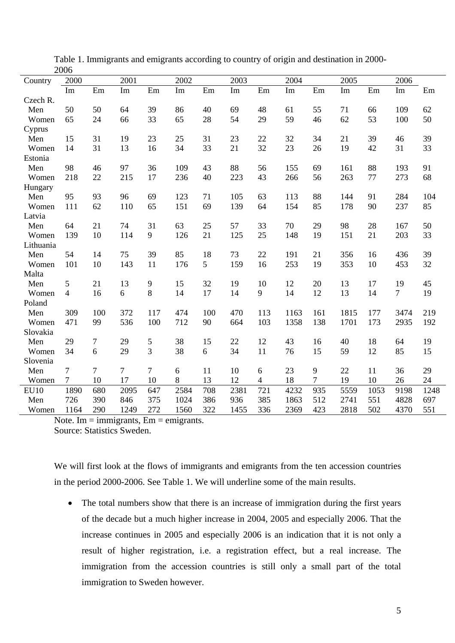|             | 2000           |                |        |                |      |     |      |                |      |     |      |      |                |      |
|-------------|----------------|----------------|--------|----------------|------|-----|------|----------------|------|-----|------|------|----------------|------|
| Country     | 2000           |                | 2001   |                | 2002 |     | 2003 |                | 2004 |     | 2005 |      | 2006           |      |
|             | Im             | Em             | Im     | Em             | Im   | Em  | Im   | Em             | Im   | Em  | Im   | Em   | Im             | Em   |
| Czech R.    |                |                |        |                |      |     |      |                |      |     |      |      |                |      |
| Men         | 50             | 50             | 64     | 39             | 86   | 40  | 69   | 48             | 61   | 55  | 71   | 66   | 109            | 62   |
| Women       | 65             | 24             | 66     | 33             | 65   | 28  | 54   | 29             | 59   | 46  | 62   | 53   | 100            | 50   |
| Cyprus      |                |                |        |                |      |     |      |                |      |     |      |      |                |      |
| Men         | 15             | 31             | 19     | 23             | 25   | 31  | 23   | 22             | 32   | 34  | 21   | 39   | 46             | 39   |
| Women       | 14             | 31             | 13     | 16             | 34   | 33  | 21   | 32             | 23   | 26  | 19   | 42   | 31             | 33   |
| Estonia     |                |                |        |                |      |     |      |                |      |     |      |      |                |      |
| Men         | 98             | 46             | 97     | 36             | 109  | 43  | 88   | 56             | 155  | 69  | 161  | 88   | 193            | 91   |
| Women       | 218            | 22             | 215    | 17             | 236  | 40  | 223  | 43             | 266  | 56  | 263  | 77   | 273            | 68   |
| Hungary     |                |                |        |                |      |     |      |                |      |     |      |      |                |      |
| Men         | 95             | 93             | 96     | 69             | 123  | 71  | 105  | 63             | 113  | 88  | 144  | 91   | 284            | 104  |
| Women       | 111            | 62             | 110    | 65             | 151  | 69  | 139  | 64             | 154  | 85  | 178  | 90   | 237            | 85   |
| Latvia      |                |                |        |                |      |     |      |                |      |     |      |      |                |      |
| Men         | 64             | 21             | 74     | 31             | 63   | 25  | 57   | 33             | 70   | 29  | 98   | 28   | 167            | 50   |
| Women       | 139            | 10             | 114    | 9              | 126  | 21  | 125  | 25             | 148  | 19  | 151  | 21   | 203            | 33   |
| Lithuania   |                |                |        |                |      |     |      |                |      |     |      |      |                |      |
| Men         | 54             | 14             | 75     | 39             | 85   | 18  | 73   | 22             | 191  | 21  | 356  | 16   | 436            | 39   |
| Women       | 101            | 10             | 143    | 11             | 176  | 5   | 159  | 16             | 253  | 19  | 353  | 10   | 453            | 32   |
| Malta       |                |                |        |                |      |     |      |                |      |     |      |      |                |      |
| Men         | 5              | 21             | 13     | $\overline{9}$ | 15   | 32  | 19   | 10             | 12   | 20  | 13   | 17   | 19             | 45   |
| Women       | $\overline{4}$ | 16             | 6      | 8              | 14   | 17  | 14   | 9              | 14   | 12  | 13   | 14   | $\overline{7}$ | 19   |
| Poland      |                |                |        |                |      |     |      |                |      |     |      |      |                |      |
| Men         | 309            | 100            | 372    | 117            | 474  | 100 | 470  | 113            | 1163 | 161 | 1815 | 177  | 3474           | 219  |
| Women       | 471            | 99             | 536    | 100            | 712  | 90  | 664  | 103            | 1358 | 138 | 1701 | 173  | 2935           | 192  |
| Slovakia    |                |                |        |                |      |     |      |                |      |     |      |      |                |      |
| Men         | 29             | 7              | 29     | $\mathfrak s$  | 38   | 15  | 22   | 12             | 43   | 16  | 40   | 18   | 64             | 19   |
| Women       | 34             | 6              | 29     | 3              | 38   | 6   | 34   | 11             | 76   | 15  | 59   | 12   | 85             | 15   |
| Slovenia    |                |                |        |                |      |     |      |                |      |     |      |      |                |      |
| Men         | 7              | $\overline{7}$ | $\tau$ | $\tau$         | 6    | 11  | 10   | 6              | 23   | 9   | 22   | 11   | 36             | 29   |
| Women       | $\overline{7}$ | 10             | 17     | 10             | 8    | 13  | 12   | $\overline{4}$ | 18   | 7   | 19   | 10   | 26             | 24   |
| <b>EU10</b> | 1890           | 680            | 2095   | 647            | 2584 | 708 | 2381 | 721            | 4232 | 935 | 5559 | 1053 | 9198           | 1248 |
| Men         | 726            | 390            | 846    | 375            | 1024 | 386 | 936  | 385            | 1863 | 512 | 2741 | 551  | 4828           | 697  |
| Women       | 1164           | 290            | 1249   | 272            | 1560 | 322 | 1455 | 336            | 2369 | 423 | 2818 | 502  | 4370           | 551  |
|             |                |                |        |                |      |     |      |                |      |     |      |      |                |      |

Table 1. Immigrants and emigrants according to country of origin and destination in 2000- 2006

Note. Im  $=$  immigrants,  $Em =$  emigrants.

Source: Statistics Sweden.

We will first look at the flows of immigrants and emigrants from the ten accession countries in the period 2000-2006. See Table 1. We will underline some of the main results.

• The total numbers show that there is an increase of immigration during the first years of the decade but a much higher increase in 2004, 2005 and especially 2006. That the increase continues in 2005 and especially 2006 is an indication that it is not only a result of higher registration, i.e. a registration effect, but a real increase. The immigration from the accession countries is still only a small part of the total immigration to Sweden however.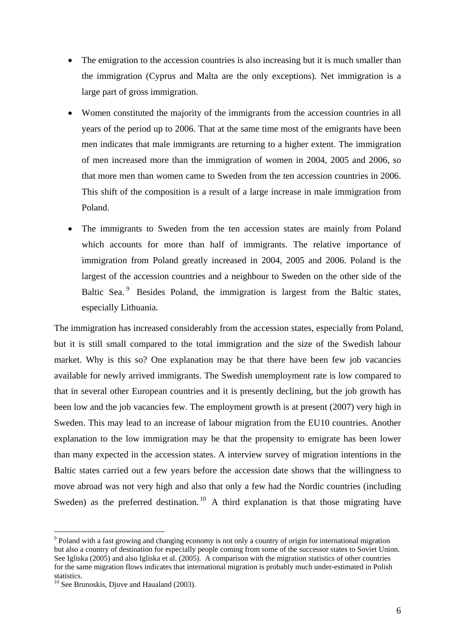- The emigration to the accession countries is also increasing but it is much smaller than the immigration (Cyprus and Malta are the only exceptions). Net immigration is a large part of gross immigration.
- Women constituted the majority of the immigrants from the accession countries in all years of the period up to 2006. That at the same time most of the emigrants have been men indicates that male immigrants are returning to a higher extent. The immigration of men increased more than the immigration of women in 2004, 2005 and 2006, so that more men than women came to Sweden from the ten accession countries in 2006. This shift of the composition is a result of a large increase in male immigration from Poland.
- The immigrants to Sweden from the ten accession states are mainly from Poland which accounts for more than half of immigrants. The relative importance of immigration from Poland greatly increased in 2004, 2005 and 2006. Poland is the largest of the accession countries and a neighbour to Sweden on the other side of the Baltic Sea.<sup>[9](#page-5-0)</sup> Besides Poland, the immigration is largest from the Baltic states, especially Lithuania.

The immigration has increased considerably from the accession states, especially from Poland, but it is still small compared to the total immigration and the size of the Swedish labour market. Why is this so? One explanation may be that there have been few job vacancies available for newly arrived immigrants. The Swedish unemployment rate is low compared to that in several other European countries and it is presently declining, but the job growth has been low and the job vacancies few. The employment growth is at present (2007) very high in Sweden. This may lead to an increase of labour migration from the EU10 countries. Another explanation to the low immigration may be that the propensity to emigrate has been lower than many expected in the accession states. A interview survey of migration intentions in the Baltic states carried out a few years before the accession date shows that the willingness to move abroad was not very high and also that only a few had the Nordic countries (including Sweden) as the preferred destination.<sup>[10](#page-5-1)</sup> A third explanation is that those migrating have

<span id="page-5-0"></span><sup>&</sup>lt;sup>9</sup> Poland with a fast growing and changing economy is not only a country of origin for international migration but also a country of destination for especially people coming from some of the successor states to Soviet Union. See Igliska (2005) and also Igliska et al. (2005). A comparison with the migration statistics of other countries for the same migration flows indicates that international migration is probably much under-estimated in Polish statistics.

<span id="page-5-1"></span> $10$  See Brunoskis, Djuve and Haualand (2003).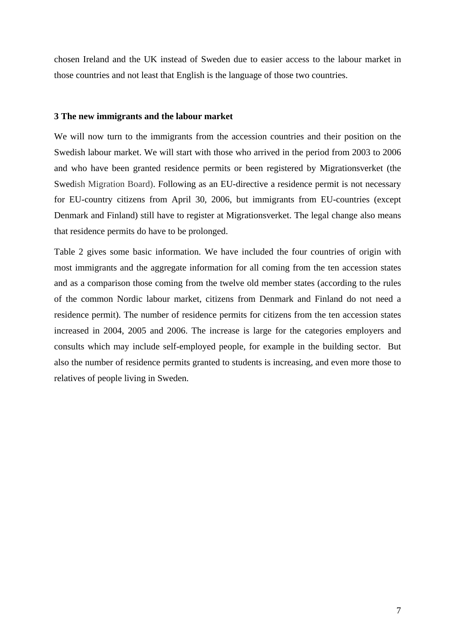chosen Ireland and the UK instead of Sweden due to easier access to the labour market in those countries and not least that English is the language of those two countries.

#### **3 The new immigrants and the labour market**

We will now turn to the immigrants from the accession countries and their position on the Swedish labour market. We will start with those who arrived in the period from 2003 to 2006 and who have been granted residence permits or been registered by Migrationsverket (the Swedish Migration Board). Following as an EU-directive a residence permit is not necessary for EU-country citizens from April 30, 2006, but immigrants from EU-countries (except Denmark and Finland) still have to register at Migrationsverket. The legal change also means that residence permits do have to be prolonged.

Table 2 gives some basic information. We have included the four countries of origin with most immigrants and the aggregate information for all coming from the ten accession states and as a comparison those coming from the twelve old member states (according to the rules of the common Nordic labour market, citizens from Denmark and Finland do not need a residence permit). The number of residence permits for citizens from the ten accession states increased in 2004, 2005 and 2006. The increase is large for the categories employers and consults which may include self-employed people, for example in the building sector. But also the number of residence permits granted to students is increasing, and even more those to relatives of people living in Sweden.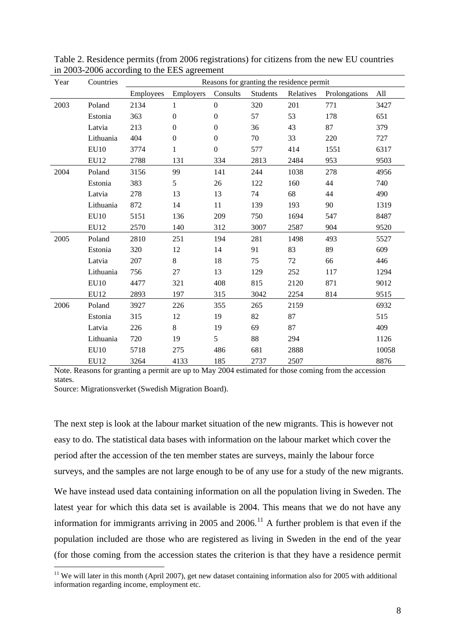| Year | Countries        |           |                  |                  |          | Reasons for granting the residence permit |               |       |
|------|------------------|-----------|------------------|------------------|----------|-------------------------------------------|---------------|-------|
|      |                  | Employees | Employers        | Consults         | Students | Relatives                                 | Prolongations | All   |
| 2003 | Poland           | 2134      | 1                | $\boldsymbol{0}$ | 320      | 201                                       | 771           | 3427  |
|      | Estonia          | 363       | $\boldsymbol{0}$ | $\boldsymbol{0}$ | 57       | 53                                        | 178           | 651   |
|      | Latvia           | 213       | $\boldsymbol{0}$ | $\boldsymbol{0}$ | 36       | 43                                        | 87            | 379   |
|      | Lithuania        | 404       | $\boldsymbol{0}$ | $\Omega$         | 70       | 33                                        | 220           | 727   |
|      | <b>EU10</b>      | 3774      | 1                | $\Omega$         | 577      | 414                                       | 1551          | 6317  |
|      | EU12             | 2788      | 131              | 334              | 2813     | 2484                                      | 953           | 9503  |
| 2004 | Poland           | 3156      | 99               | 141              | 244      | 1038                                      | 278           | 4956  |
|      | Estonia          | 383       | 5                | 26               | 122      | 160                                       | 44            | 740   |
|      | Latvia           | 278       | 13               | 13               | 74       | 68                                        | 44            | 490   |
|      | Lithuania        | 872       | 14               | 11               | 139      | 193                                       | 90            | 1319  |
|      | <b>EU10</b>      | 5151      | 136              | 209              | 750      | 1694                                      | 547           | 8487  |
|      | EU12             | 2570      | 140              | 312              | 3007     | 2587                                      | 904           | 9520  |
| 2005 | Poland           | 2810      | 251              | 194              | 281      | 1498                                      | 493           | 5527  |
|      | Estonia          | 320       | 12               | 14               | 91       | 83                                        | 89            | 609   |
|      | Latvia           | 207       | 8                | 18               | 75       | 72                                        | 66            | 446   |
|      | Lithuania        | 756       | 27               | 13               | 129      | 252                                       | 117           | 1294  |
|      | EU10             | 4477      | 321              | 408              | 815      | 2120                                      | 871           | 9012  |
|      | <b>EU12</b>      | 2893      | 197              | 315              | 3042     | 2254                                      | 814           | 9515  |
| 2006 | Poland           | 3927      | 226              | 355              | 265      | 2159                                      |               | 6932  |
|      | Estonia          | 315       | 12               | 19               | 82       | 87                                        |               | 515   |
|      | Latvia           | 226       | 8                | 19               | 69       | 87                                        |               | 409   |
|      | Lithuania        | 720       | 19               | 5                | 88       | 294                                       |               | 1126  |
|      | <b>EU10</b>      | 5718      | 275              | 486              | 681      | 2888                                      |               | 10058 |
|      | EU <sub>12</sub> | 3264      | 4133             | 185              | 2737     | 2507                                      |               | 8876  |

Table 2. Residence permits (from 2006 registrations) for citizens from the new EU countries in 2003-2006 according to the EES agreement

Note. Reasons for granting a permit are up to May 2004 estimated for those coming from the accession states.

Source: Migrationsverket (Swedish Migration Board).

1

The next step is look at the labour market situation of the new migrants. This is however not easy to do. The statistical data bases with information on the labour market which cover the period after the accession of the ten member states are surveys, mainly the labour force surveys, and the samples are not large enough to be of any use for a study of the new migrants.

We have instead used data containing information on all the population living in Sweden. The latest year for which this data set is available is 2004. This means that we do not have any information for immigrants arriving in 2005 and 2006.<sup>[11](#page-7-0)</sup> A further problem is that even if the population included are those who are registered as living in Sweden in the end of the year (for those coming from the accession states the criterion is that they have a residence permit

<span id="page-7-0"></span><sup>&</sup>lt;sup>11</sup> We will later in this month (April 2007), get new dataset containing information also for 2005 with additional information regarding income, employment etc.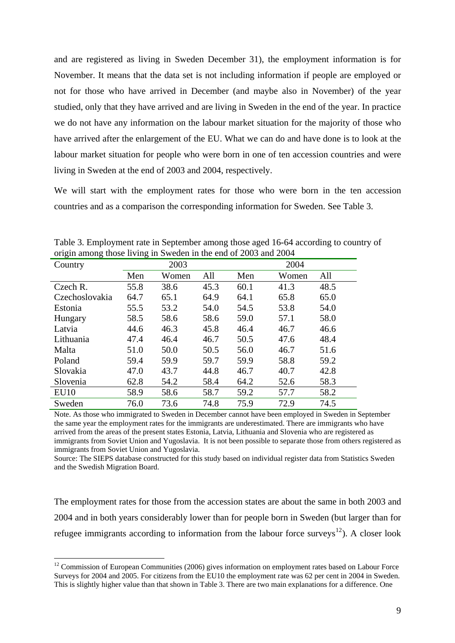and are registered as living in Sweden December 31), the employment information is for November. It means that the data set is not including information if people are employed or not for those who have arrived in December (and maybe also in November) of the year studied, only that they have arrived and are living in Sweden in the end of the year. In practice we do not have any information on the labour market situation for the majority of those who have arrived after the enlargement of the EU. What we can do and have done is to look at the labour market situation for people who were born in one of ten accession countries and were living in Sweden at the end of 2003 and 2004, respectively.

We will start with the employment rates for those who were born in the ten accession countries and as a comparison the corresponding information for Sweden. See Table 3.

| $\frac{1}{2}$ and $\frac{1}{2}$ and $\frac{1}{2}$ and $\frac{1}{2}$ and $\frac{1}{2}$ and $\frac{1}{2}$<br>Country |      | 2003  |      |      | 2004  |      |
|--------------------------------------------------------------------------------------------------------------------|------|-------|------|------|-------|------|
|                                                                                                                    | Men  | Women | All  | Men  | Women | All  |
| Czech R.                                                                                                           | 55.8 | 38.6  | 45.3 | 60.1 | 41.3  | 48.5 |
| Czechoslovakia                                                                                                     | 64.7 | 65.1  | 64.9 | 64.1 | 65.8  | 65.0 |
| Estonia                                                                                                            | 55.5 | 53.2  | 54.0 | 54.5 | 53.8  | 54.0 |
| Hungary                                                                                                            | 58.5 | 58.6  | 58.6 | 59.0 | 57.1  | 58.0 |
| Latvia                                                                                                             | 44.6 | 46.3  | 45.8 | 46.4 | 46.7  | 46.6 |
| Lithuania                                                                                                          | 47.4 | 46.4  | 46.7 | 50.5 | 47.6  | 48.4 |
| Malta                                                                                                              | 51.0 | 50.0  | 50.5 | 56.0 | 46.7  | 51.6 |
| Poland                                                                                                             | 59.4 | 59.9  | 59.7 | 59.9 | 58.8  | 59.2 |
| Slovakia                                                                                                           | 47.0 | 43.7  | 44.8 | 46.7 | 40.7  | 42.8 |
| Slovenia                                                                                                           | 62.8 | 54.2  | 58.4 | 64.2 | 52.6  | 58.3 |
| EU10                                                                                                               | 58.9 | 58.6  | 58.7 | 59.2 | 57.7  | 58.2 |
| Sweden                                                                                                             | 76.0 | 73.6  | 74.8 | 75.9 | 72.9  | 74.5 |

Table 3. Employment rate in September among those aged 16-64 according to country of origin among those living in Sweden in the end of 2003 and 2004

Note. As those who immigrated to Sweden in December cannot have been employed in Sweden in September the same year the employment rates for the immigrants are underestimated. There are immigrants who have arrived from the areas of the present states Estonia, Latvia, Lithuania and Slovenia who are registered as immigrants from Soviet Union and Yugoslavia. It is not been possible to separate those from others registered as immigrants from Soviet Union and Yugoslavia.

Source: The SIEPS database constructed for this study based on individual register data from Statistics Sweden and the Swedish Migration Board.

The employment rates for those from the accession states are about the same in both 2003 and 2004 and in both years considerably lower than for people born in Sweden (but larger than for refugee immigrants according to information from the labour force surveys<sup>[12](#page-8-0)</sup>). A closer look

<span id="page-8-0"></span> $12$  Commission of European Communities (2006) gives information on employment rates based on Labour Force Surveys for 2004 and 2005. For citizens from the EU10 the employment rate was 62 per cent in 2004 in Sweden. This is slightly higher value than that shown in Table 3. There are two main explanations for a difference. One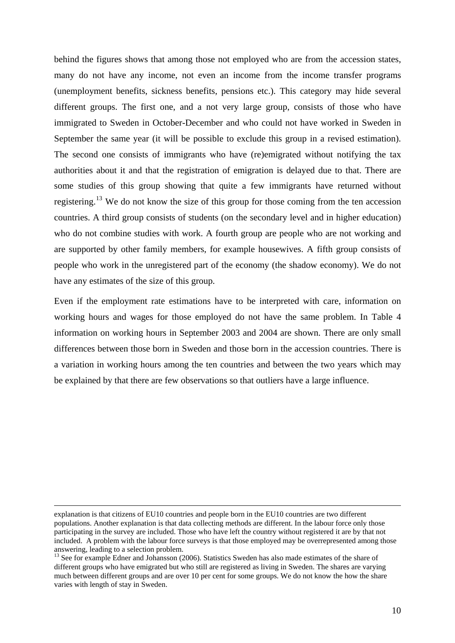behind the figures shows that among those not employed who are from the accession states, many do not have any income, not even an income from the income transfer programs (unemployment benefits, sickness benefits, pensions etc.). This category may hide several different groups. The first one, and a not very large group, consists of those who have immigrated to Sweden in October-December and who could not have worked in Sweden in September the same year (it will be possible to exclude this group in a revised estimation). The second one consists of immigrants who have (re)emigrated without notifying the tax authorities about it and that the registration of emigration is delayed due to that. There are some studies of this group showing that quite a few immigrants have returned without registering.[13](#page-9-0) We do not know the size of this group for those coming from the ten accession countries. A third group consists of students (on the secondary level and in higher education) who do not combine studies with work. A fourth group are people who are not working and are supported by other family members, for example housewives. A fifth group consists of people who work in the unregistered part of the economy (the shadow economy). We do not have any estimates of the size of this group.

Even if the employment rate estimations have to be interpreted with care, information on working hours and wages for those employed do not have the same problem. In Table 4 information on working hours in September 2003 and 2004 are shown. There are only small differences between those born in Sweden and those born in the accession countries. There is a variation in working hours among the ten countries and between the two years which may be explained by that there are few observations so that outliers have a large influence.

explanation is that citizens of EU10 countries and people born in the EU10 countries are two different populations. Another explanation is that data collecting methods are different. In the labour force only those participating in the survey are included. Those who have left the country without registered it are by that not included. A problem with the labour force surveys is that those employed may be overrepresented among those answering, leading to a selection problem.<br><sup>13</sup> See for example Edner and Johansson (2006). Statistics Sweden has also made estimates of the share of

<span id="page-9-0"></span>different groups who have emigrated but who still are registered as living in Sweden. The shares are varying much between different groups and are over 10 per cent for some groups. We do not know the how the share varies with length of stay in Sweden.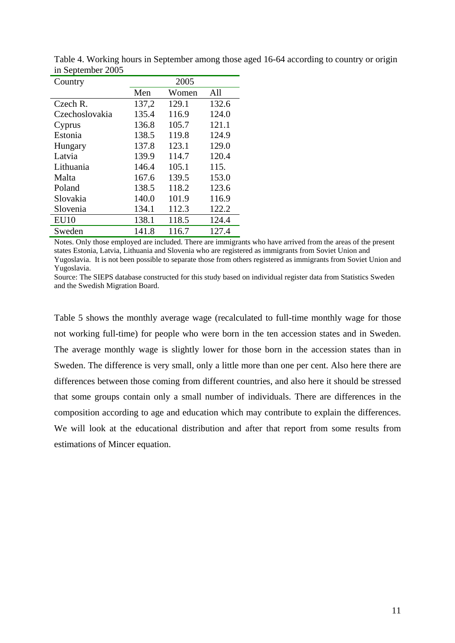| Country        | 2005  |       |       |  |  |  |  |
|----------------|-------|-------|-------|--|--|--|--|
|                | Men   | Women | All   |  |  |  |  |
| Czech R.       | 137,2 | 129.1 | 132.6 |  |  |  |  |
| Czechoslovakia | 135.4 | 116.9 | 124.0 |  |  |  |  |
| Cyprus         | 136.8 | 105.7 | 121.1 |  |  |  |  |
| Estonia        | 138.5 | 119.8 | 124.9 |  |  |  |  |
| Hungary        | 137.8 | 123.1 | 129.0 |  |  |  |  |
| Latvia         | 139.9 | 114.7 | 120.4 |  |  |  |  |
| Lithuania      | 146.4 | 105.1 | 115.  |  |  |  |  |
| Malta          | 167.6 | 139.5 | 153.0 |  |  |  |  |
| Poland         | 138.5 | 118.2 | 123.6 |  |  |  |  |
| Slovakia       | 140.0 | 101.9 | 116.9 |  |  |  |  |
| Slovenia       | 134.1 | 112.3 | 122.2 |  |  |  |  |
| <b>EU10</b>    | 138.1 | 118.5 | 124.4 |  |  |  |  |
| Sweden         | 141.8 | 116.7 | 127.4 |  |  |  |  |

Table 4. Working hours in September among those aged 16-64 according to country or origin in September 2005

Notes. Only those employed are included. There are immigrants who have arrived from the areas of the present states Estonia, Latvia, Lithuania and Slovenia who are registered as immigrants from Soviet Union and Yugoslavia. It is not been possible to separate those from others registered as immigrants from Soviet Union and Yugoslavia.

Source: The SIEPS database constructed for this study based on individual register data from Statistics Sweden and the Swedish Migration Board.

Table 5 shows the monthly average wage (recalculated to full-time monthly wage for those not working full-time) for people who were born in the ten accession states and in Sweden. The average monthly wage is slightly lower for those born in the accession states than in Sweden. The difference is very small, only a little more than one per cent. Also here there are differences between those coming from different countries, and also here it should be stressed that some groups contain only a small number of individuals. There are differences in the composition according to age and education which may contribute to explain the differences. We will look at the educational distribution and after that report from some results from estimations of Mincer equation.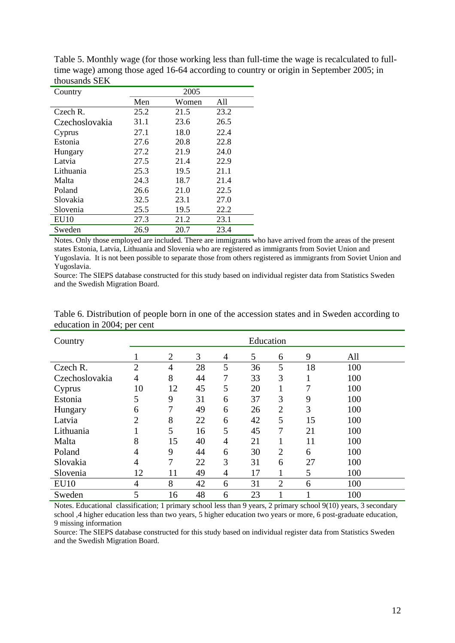| Country        |      | 2005  |      |
|----------------|------|-------|------|
|                | Men  | Women | All  |
| Czech R.       | 25.2 | 21.5  | 23.2 |
| Czechoslovakia | 31.1 | 23.6  | 26.5 |
| Cyprus         | 27.1 | 18.0  | 22.4 |
| Estonia        | 27.6 | 20.8  | 22.8 |
| Hungary        | 27.2 | 21.9  | 24.0 |
| Latvia         | 27.5 | 21.4  | 22.9 |
| Lithuania      | 25.3 | 19.5  | 21.1 |
| Malta          | 24.3 | 18.7  | 21.4 |
| Poland         | 26.6 | 21.0  | 22.5 |
| Slovakia       | 32.5 | 23.1  | 27.0 |
| Slovenia       | 25.5 | 19.5  | 22.2 |
| <b>EU10</b>    | 27.3 | 21.2  | 23.1 |
| Sweden         | 26.9 | 20.7  | 23.4 |

Table 5. Monthly wage (for those working less than full-time the wage is recalculated to fulltime wage) among those aged 16-64 according to country or origin in September 2005; in thousands SEK

Notes. Only those employed are included. There are immigrants who have arrived from the areas of the present states Estonia, Latvia, Lithuania and Slovenia who are registered as immigrants from Soviet Union and Yugoslavia. It is not been possible to separate those from others registered as immigrants from Soviet Union and Yugoslavia.

Source: The SIEPS database constructed for this study based on individual register data from Statistics Sweden and the Swedish Migration Board.

| Country        |                |                |    |   | Education |                |    |     |
|----------------|----------------|----------------|----|---|-----------|----------------|----|-----|
|                |                | $\overline{2}$ | 3  | 4 | 5         | 6              | 9  | All |
| Czech R.       | $\overline{2}$ | 4              | 28 | 5 | 36        | 5              | 18 | 100 |
| Czechoslovakia | 4              | 8              | 44 | 7 | 33        | 3              | 1  | 100 |
| Cyprus         | 10             | 12             | 45 | 5 | 20        | ı              | 7  | 100 |
| Estonia        | 5              | 9              | 31 | 6 | 37        | 3              | 9  | 100 |
| Hungary        | 6              | 7              | 49 | 6 | 26        | $\overline{2}$ | 3  | 100 |
| Latvia         | 2              | 8              | 22 | 6 | 42        | 5              | 15 | 100 |
| Lithuania      |                | 5              | 16 | 5 | 45        | 7              | 21 | 100 |
| Malta          | 8              | 15             | 40 | 4 | 21        |                | 11 | 100 |
| Poland         | 4              | 9              | 44 | 6 | 30        | $\overline{2}$ | 6  | 100 |
| Slovakia       | 4              | 7              | 22 | 3 | 31        | 6              | 27 | 100 |
| Slovenia       | 12             | 11             | 49 | 4 | 17        |                | 5  | 100 |
| EU10           | 4              | 8              | 42 | 6 | 31        | $\overline{2}$ | 6  | 100 |
| Sweden         | 5              | 16             | 48 | 6 | 23        |                | 1  | 100 |

Table 6. Distribution of people born in one of the accession states and in Sweden according to education in 2004; per cent

Notes. Educational classification; 1 primary school less than 9 years, 2 primary school 9(10) years, 3 secondary school ,4 higher education less than two years, 5 higher education two years or more, 6 post-graduate education, 9 missing information

Source: The SIEPS database constructed for this study based on individual register data from Statistics Sweden and the Swedish Migration Board.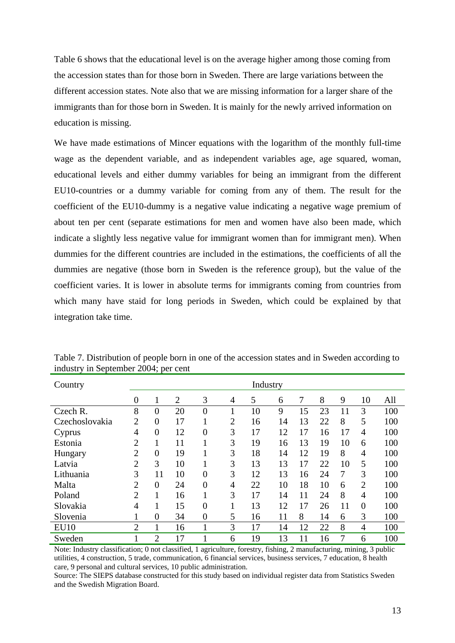Table 6 shows that the educational level is on the average higher among those coming from the accession states than for those born in Sweden. There are large variations between the different accession states. Note also that we are missing information for a larger share of the immigrants than for those born in Sweden. It is mainly for the newly arrived information on education is missing.

We have made estimations of Mincer equations with the logarithm of the monthly full-time wage as the dependent variable, and as independent variables age, age squared, woman, educational levels and either dummy variables for being an immigrant from the different EU10-countries or a dummy variable for coming from any of them. The result for the coefficient of the EU10-dummy is a negative value indicating a negative wage premium of about ten per cent (separate estimations for men and women have also been made, which indicate a slightly less negative value for immigrant women than for immigrant men). When dummies for the different countries are included in the estimations, the coefficients of all the dummies are negative (those born in Sweden is the reference group), but the value of the coefficient varies. It is lower in absolute terms for immigrants coming from countries from which many have staid for long periods in Sweden, which could be explained by that integration take time.

| Country        |                |                |                |                |                | Industry |    |    |    |    |                |     |
|----------------|----------------|----------------|----------------|----------------|----------------|----------|----|----|----|----|----------------|-----|
|                | $\overline{0}$ | 1              | $\overline{2}$ | 3              | 4              | 5        | 6  | 7  | 8  | 9  | 10             | All |
| Czech R.       | 8              | $\overline{0}$ | 20             | $\overline{0}$ | 1              | 10       | 9  | 15 | 23 | 11 | 3              | 100 |
| Czechoslovakia | $\overline{2}$ | $\overline{0}$ | 17             | 1              | $\overline{2}$ | 16       | 14 | 13 | 22 | 8  | 5              | 100 |
| Cyprus         | 4              | $\overline{0}$ | 12             | $\overline{0}$ | 3              | 17       | 12 | 17 | 16 | 17 | $\overline{4}$ | 100 |
| Estonia        | $\overline{2}$ | 1              | 11             | T              | 3              | 19       | 16 | 13 | 19 | 10 | 6              | 100 |
| Hungary        | $\overline{2}$ | $\overline{0}$ | 19             |                | 3              | 18       | 14 | 12 | 19 | 8  | $\overline{4}$ | 100 |
| Latvia         | $\overline{2}$ | 3              | 10             | ı              | 3              | 13       | 13 | 17 | 22 | 10 | 5              | 100 |
| Lithuania      | 3              | 11             | 10             | $\overline{0}$ | 3              | 12       | 13 | 16 | 24 | 7  | 3              | 100 |
| Malta          | $\overline{2}$ | $\overline{0}$ | 24             | $\overline{0}$ | $\overline{4}$ | 22       | 10 | 18 | 10 | 6  | $\overline{2}$ | 100 |
| Poland         | $\overline{2}$ | $\mathbf{1}$   | 16             | 1              | 3              | 17       | 14 | 11 | 24 | 8  | 4              | 100 |
| Slovakia       | $\overline{4}$ | 1              | 15             | $\overline{0}$ | 1              | 13       | 12 | 17 | 26 | 11 | $\overline{0}$ | 100 |
| Slovenia       |                | $\overline{0}$ | 34             | $\overline{0}$ | 5              | 16       | 11 | 8  | 14 | 6  | 3              | 100 |
| <b>EU10</b>    | $\overline{2}$ | 1              | 16             | 1              | 3              | 17       | 14 | 12 | 22 | 8  | 4              | 100 |
| Sweden         |                | $\overline{2}$ | 17             |                | 6              | 19       | 13 | 11 | 16 | 7  | 6              | 100 |

Table 7. Distribution of people born in one of the accession states and in Sweden according to industry in September 2004; per cent

Note: Industry classification; 0 not classified, 1 agriculture, forestry, fishing, 2 manufacturing, mining, 3 public utilities, 4 construction, 5 trade, communication, 6 financial services, business services, 7 education, 8 health care, 9 personal and cultural services, 10 public administration.

Source: The SIEPS database constructed for this study based on individual register data from Statistics Sweden and the Swedish Migration Board.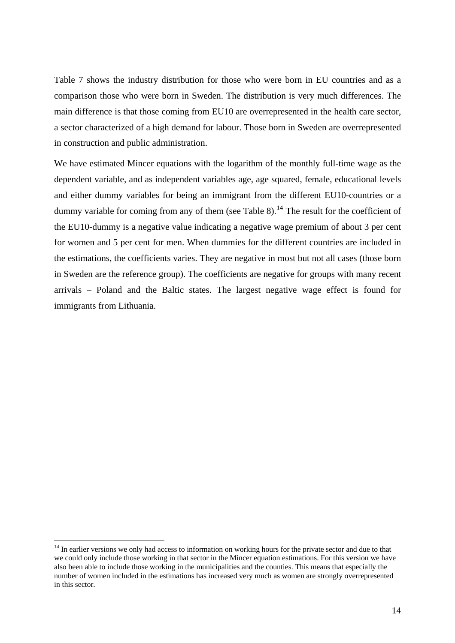Table 7 shows the industry distribution for those who were born in EU countries and as a comparison those who were born in Sweden. The distribution is very much differences. The main difference is that those coming from EU10 are overrepresented in the health care sector, a sector characterized of a high demand for labour. Those born in Sweden are overrepresented in construction and public administration.

We have estimated Mincer equations with the logarithm of the monthly full-time wage as the dependent variable, and as independent variables age, age squared, female, educational levels and either dummy variables for being an immigrant from the different EU10-countries or a dummy variable for coming from any of them (see Table 8).<sup>[14](#page-13-0)</sup> The result for the coefficient of the EU10-dummy is a negative value indicating a negative wage premium of about 3 per cent for women and 5 per cent for men. When dummies for the different countries are included in the estimations, the coefficients varies. They are negative in most but not all cases (those born in Sweden are the reference group). The coefficients are negative for groups with many recent arrivals – Poland and the Baltic states. The largest negative wage effect is found for immigrants from Lithuania.

<span id="page-13-0"></span><sup>&</sup>lt;sup>14</sup> In earlier versions we only had access to information on working hours for the private sector and due to that we could only include those working in that sector in the Mincer equation estimations. For this version we have also been able to include those working in the municipalities and the counties. This means that especially the number of women included in the estimations has increased very much as women are strongly overrepresented in this sector.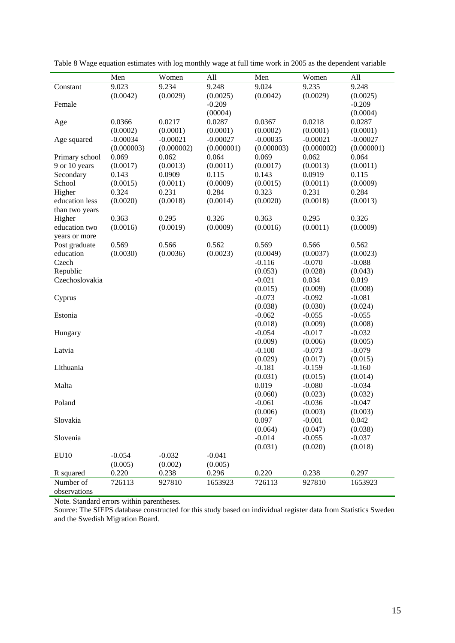|                  | Men        | Women      | All        | Men        | Women      | All        |
|------------------|------------|------------|------------|------------|------------|------------|
| Constant         | 9.023      | 9.234      | 9.248      | 9.024      | 9.235      | 9.248      |
|                  | (0.0042)   | (0.0029)   | (0.0025)   | (0.0042)   | (0.0029)   | (0.0025)   |
| Female           |            |            | $-0.209$   |            |            | $-0.209$   |
|                  |            |            | (00004)    |            |            | (0.0004)   |
| Age              | 0.0366     | 0.0217     | 0.0287     | 0.0367     | 0.0218     | 0.0287     |
|                  | (0.0002)   | (0.0001)   | (0.0001)   | (0.0002)   | (0.0001)   | (0.0001)   |
| Age squared      | $-0.00034$ | $-0.00021$ | $-0.00027$ | $-0.00035$ | $-0.00021$ | $-0.00027$ |
|                  | (0.000003) | (0.000002) | (0.000001) | (0.000003) | (0.000002) | (0.000001) |
| Primary school   | 0.069      | 0.062      | 0.064      | 0.069      | 0.062      | 0.064      |
| 9 or 10 years    | (0.0017)   | (0.0013)   | (0.0011)   | (0.0017)   | (0.0013)   | (0.0011)   |
| Secondary        | 0.143      | 0.0909     | 0.115      | 0.143      | 0.0919     | 0.115      |
| School           | (0.0015)   | (0.0011)   | (0.0009)   | (0.0015)   | (0.0011)   | (0.0009)   |
| Higher           | 0.324      | 0.231      | 0.284      | 0.323      | 0.231      | 0.284      |
| education less   | (0.0020)   | (0.0018)   | (0.0014)   | (0.0020)   | (0.0018)   | (0.0013)   |
| than two years   |            |            |            |            |            |            |
| Higher           | 0.363      | 0.295      | 0.326      | 0.363      | 0.295      | 0.326      |
| education two    | (0.0016)   | (0.0019)   | (0.0009)   | (0.0016)   | (0.0011)   | (0.0009)   |
| years or more    |            |            |            |            |            |            |
| Post graduate    | 0.569      | 0.566      | 0.562      | 0.569      | 0.566      | 0.562      |
| education        | (0.0030)   | (0.0036)   | (0.0023)   | (0.0049)   | (0.0037)   | (0.0023)   |
| Czech            |            |            |            | $-0.116$   | $-0.070$   | $-0.088$   |
| Republic         |            |            |            | (0.053)    | (0.028)    | (0.043)    |
| Czechoslovakia   |            |            |            | $-0.021$   | 0.034      | 0.019      |
|                  |            |            |            | (0.015)    | (0.009)    | (0.008)    |
| Cyprus           |            |            |            | $-0.073$   | $-0.092$   | $-0.081$   |
|                  |            |            |            | (0.038)    | (0.030)    | (0.024)    |
| Estonia          |            |            |            | $-0.062$   | $-0.055$   | $-0.055$   |
|                  |            |            |            | (0.018)    | (0.009)    | (0.008)    |
| Hungary          |            |            |            | $-0.054$   | $-0.017$   | $-0.032$   |
|                  |            |            |            | (0.009)    | (0.006)    | (0.005)    |
| Latvia           |            |            |            | $-0.100$   | $-0.073$   | $-0.079$   |
|                  |            |            |            | (0.029)    | (0.017)    | (0.015)    |
| Lithuania        |            |            |            | $-0.181$   | $-0.159$   | $-0.160$   |
|                  |            |            |            | (0.031)    | (0.015)    | (0.014)    |
| Malta            |            |            |            | 0.019      | $-0.080$   | $-0.034$   |
|                  |            |            |            | (0.060)    | (0.023)    | (0.032)    |
| Poland           |            |            |            | $-0.061$   | $-0.036$   | $-0.047$   |
|                  |            |            |            | (0.006)    | (0.003)    | (0.003)    |
| Slovakia         |            |            |            | 0.097      | $-0.001$   | 0.042      |
|                  |            |            |            | (0.064)    | (0.047)    | (0.038)    |
| Slovenia         |            |            |            | $-0.014$   | $-0.055$   | $-0.037$   |
|                  |            |            |            | (0.031)    | (0.020)    | (0.018)    |
| EU <sub>10</sub> | $-0.054$   | $-0.032$   | $-0.041$   |            |            |            |
|                  | (0.005)    | (0.002)    | (0.005)    |            |            |            |
| R squared        | 0.220      | 0.238      | 0.296      | 0.220      | 0.238      | 0.297      |
| Number of        | 726113     | 927810     | 1653923    | 726113     | 927810     | 1653923    |
| observations     |            |            |            |            |            |            |

Table 8 Wage equation estimates with log monthly wage at full time work in 2005 as the dependent variable

Note. Standard errors within parentheses.

Source: The SIEPS database constructed for this study based on individual register data from Statistics Sweden and the Swedish Migration Board.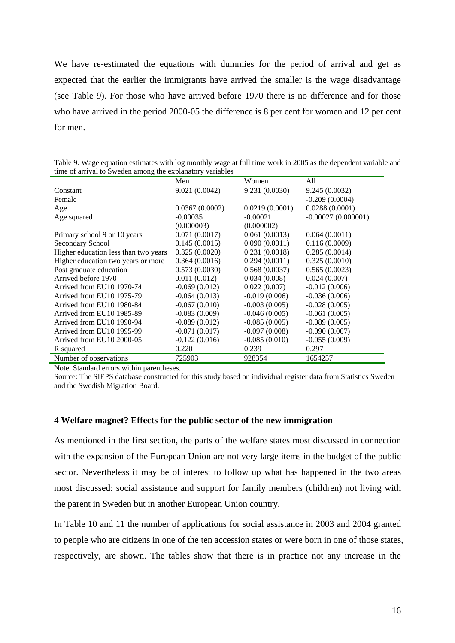We have re-estimated the equations with dummies for the period of arrival and get as expected that the earlier the immigrants have arrived the smaller is the wage disadvantage (see Table 9). For those who have arrived before 1970 there is no difference and for those who have arrived in the period 2000-05 the difference is 8 per cent for women and 12 per cent for men.

|                                      | Men             | Women           | All                  |
|--------------------------------------|-----------------|-----------------|----------------------|
| Constant                             | 9.021 (0.0042)  | 9.231 (0.0030)  | 9.245(0.0032)        |
| Female                               |                 |                 | $-0.209(0.0004)$     |
| Age                                  | 0.0367(0.0002)  | 0.0219(0.0001)  | 0.0288(0.0001)       |
| Age squared                          | $-0.00035$      | $-0.00021$      | $-0.00027(0.000001)$ |
|                                      | (0.000003)      | (0.000002)      |                      |
| Primary school 9 or 10 years         | 0.071(0.0017)   | 0.061(0.0013)   | 0.064(0.0011)        |
| Secondary School                     | 0.145(0.0015)   | 0.090(0.0011)   | 0.116(0.0009)        |
| Higher education less than two years | 0.325(0.0020)   | 0.231(0.0018)   | 0.285(0.0014)        |
| Higher education two years or more   | 0.364(0.0016)   | 0.294(0.0011)   | 0.325(0.0010)        |
| Post graduate education              | 0.573(0.0030)   | 0.568(0.0037)   | 0.565(0.0023)        |
| Arrived before 1970                  | 0.011(0.012)    | 0.034(0.008)    | 0.024(0.007)         |
| Arrived from EU10 1970-74            | $-0.069(0.012)$ | 0.022(0.007)    | $-0.012(0.006)$      |
| Arrived from EU10 1975-79            | $-0.064(0.013)$ | $-0.019(0.006)$ | $-0.036(0.006)$      |
| Arrived from EU10 1980-84            | $-0.067(0.010)$ | $-0.003(0.005)$ | $-0.028(0.005)$      |
| Arrived from EU10 1985-89            | $-0.083(0.009)$ | $-0.046(0.005)$ | $-0.061(0.005)$      |
| Arrived from EU10 1990-94            | $-0.089(0.012)$ | $-0.085(0.005)$ | $-0.089(0.005)$      |
| Arrived from EU10 1995-99            | $-0.071(0.017)$ | $-0.097(0.008)$ | $-0.090(0.007)$      |
| Arrived from EU10 2000-05            | $-0.122(0.016)$ | $-0.085(0.010)$ | $-0.055(0.009)$      |
| R squared                            | 0.220           | 0.239           | 0.297                |
| Number of observations               | 725903          | 928354          | 1654257              |

Table 9. Wage equation estimates with log monthly wage at full time work in 2005 as the dependent variable and time of arrival to Sweden among the explanatory variables

Note. Standard errors within parentheses.

Source: The SIEPS database constructed for this study based on individual register data from Statistics Sweden and the Swedish Migration Board.

#### **4 Welfare magnet? Effects for the public sector of the new immigration**

As mentioned in the first section, the parts of the welfare states most discussed in connection with the expansion of the European Union are not very large items in the budget of the public sector. Nevertheless it may be of interest to follow up what has happened in the two areas most discussed: social assistance and support for family members (children) not living with the parent in Sweden but in another European Union country.

In Table 10 and 11 the number of applications for social assistance in 2003 and 2004 granted to people who are citizens in one of the ten accession states or were born in one of those states, respectively, are shown. The tables show that there is in practice not any increase in the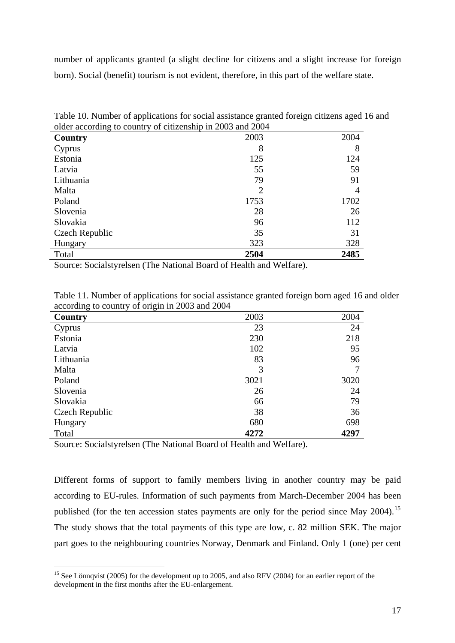number of applicants granted (a slight decline for citizens and a slight increase for foreign born). Social (benefit) tourism is not evident, therefore, in this part of the welfare state.

| $\sigma$ and $\sigma$ and $\sigma$ and $\sigma$ and $\sigma$ and $\sigma$ and $\sigma$ and $\sigma$ and $\sigma$ |      |      |
|------------------------------------------------------------------------------------------------------------------|------|------|
| Country                                                                                                          | 2003 | 2004 |
| Cyprus                                                                                                           | 8    | 8    |
| Estonia                                                                                                          | 125  | 124  |
| Latvia                                                                                                           | 55   | 59   |
| Lithuania                                                                                                        | 79   | 91   |
| Malta                                                                                                            | 2    | 4    |
| Poland                                                                                                           | 1753 | 1702 |
| Slovenia                                                                                                         | 28   | 26   |
| Slovakia                                                                                                         | 96   | 112  |
| Czech Republic                                                                                                   | 35   | 31   |
| Hungary                                                                                                          | 323  | 328  |
| Total                                                                                                            | 2504 | 2485 |

Table 10. Number of applications for social assistance granted foreign citizens aged 16 and older according to country of citizenship in 2003 and 2004

Source: Socialstyrelsen (The National Board of Health and Welfare).

| $\alpha$<br>$\frac{1}{2}$ of $\frac{1}{2}$ or $\frac{1}{2}$ and $\frac{1}{2}$ of $\frac{1}{2}$ |      |      |
|------------------------------------------------------------------------------------------------|------|------|
| Country                                                                                        | 2003 | 2004 |
| Cyprus                                                                                         | 23   | 24   |
| Estonia                                                                                        | 230  | 218  |
| Latvia                                                                                         | 102  | 95   |
| Lithuania                                                                                      | 83   | 96   |
| Malta                                                                                          | 3    |      |
| Poland                                                                                         | 3021 | 3020 |
| Slovenia                                                                                       | 26   | 24   |
| Slovakia                                                                                       | 66   | 79   |
| Czech Republic                                                                                 | 38   | 36   |
| Hungary                                                                                        | 680  | 698  |
| Total                                                                                          | 4272 | 4297 |
|                                                                                                |      |      |

Table 11. Number of applications for social assistance granted foreign born aged 16 and older according to country of origin in 2003 and 2004

Source: Socialstyrelsen (The National Board of Health and Welfare).

1

Different forms of support to family members living in another country may be paid according to EU-rules. Information of such payments from March-December 2004 has been published (for the ten accession states payments are only for the period since May 2004).<sup>[15](#page-16-0)</sup> The study shows that the total payments of this type are low, c. 82 million SEK. The major part goes to the neighbouring countries Norway, Denmark and Finland. Only 1 (one) per cent

<span id="page-16-0"></span><sup>&</sup>lt;sup>15</sup> See Lönnqvist (2005) for the development up to 2005, and also RFV (2004) for an earlier report of the development in the first months after the EU-enlargement.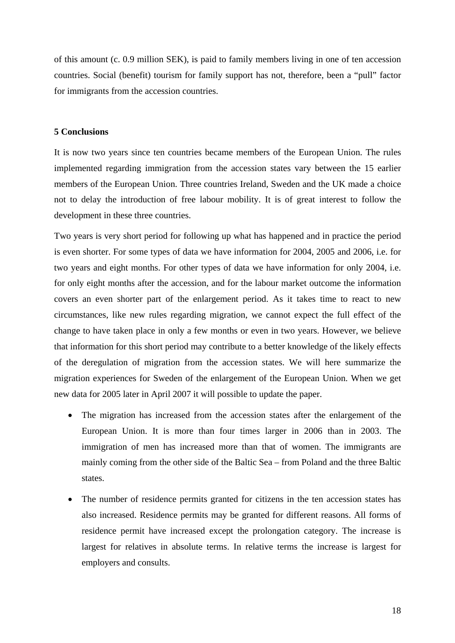of this amount (c. 0.9 million SEK), is paid to family members living in one of ten accession countries. Social (benefit) tourism for family support has not, therefore, been a "pull" factor for immigrants from the accession countries.

## **5 Conclusions**

It is now two years since ten countries became members of the European Union. The rules implemented regarding immigration from the accession states vary between the 15 earlier members of the European Union. Three countries Ireland, Sweden and the UK made a choice not to delay the introduction of free labour mobility. It is of great interest to follow the development in these three countries.

Two years is very short period for following up what has happened and in practice the period is even shorter. For some types of data we have information for 2004, 2005 and 2006, i.e. for two years and eight months. For other types of data we have information for only 2004, i.e. for only eight months after the accession, and for the labour market outcome the information covers an even shorter part of the enlargement period. As it takes time to react to new circumstances, like new rules regarding migration, we cannot expect the full effect of the change to have taken place in only a few months or even in two years. However, we believe that information for this short period may contribute to a better knowledge of the likely effects of the deregulation of migration from the accession states. We will here summarize the migration experiences for Sweden of the enlargement of the European Union. When we get new data for 2005 later in April 2007 it will possible to update the paper.

- The migration has increased from the accession states after the enlargement of the European Union. It is more than four times larger in 2006 than in 2003. The immigration of men has increased more than that of women. The immigrants are mainly coming from the other side of the Baltic Sea – from Poland and the three Baltic states.
- The number of residence permits granted for citizens in the ten accession states has also increased. Residence permits may be granted for different reasons. All forms of residence permit have increased except the prolongation category. The increase is largest for relatives in absolute terms. In relative terms the increase is largest for employers and consults.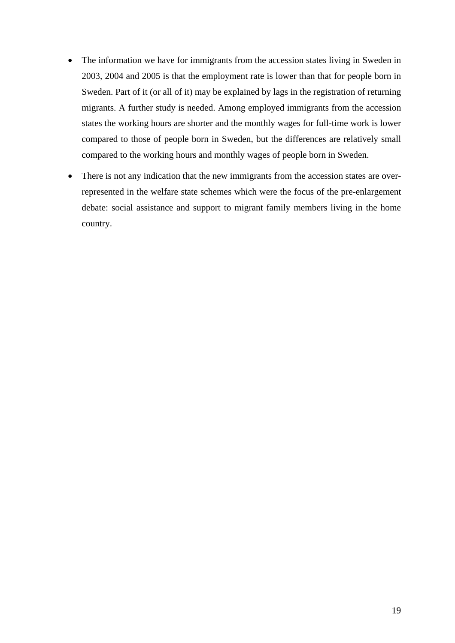- The information we have for immigrants from the accession states living in Sweden in 2003, 2004 and 2005 is that the employment rate is lower than that for people born in Sweden. Part of it (or all of it) may be explained by lags in the registration of returning migrants. A further study is needed. Among employed immigrants from the accession states the working hours are shorter and the monthly wages for full-time work is lower compared to those of people born in Sweden, but the differences are relatively small compared to the working hours and monthly wages of people born in Sweden.
- There is not any indication that the new immigrants from the accession states are overrepresented in the welfare state schemes which were the focus of the pre-enlargement debate: social assistance and support to migrant family members living in the home country.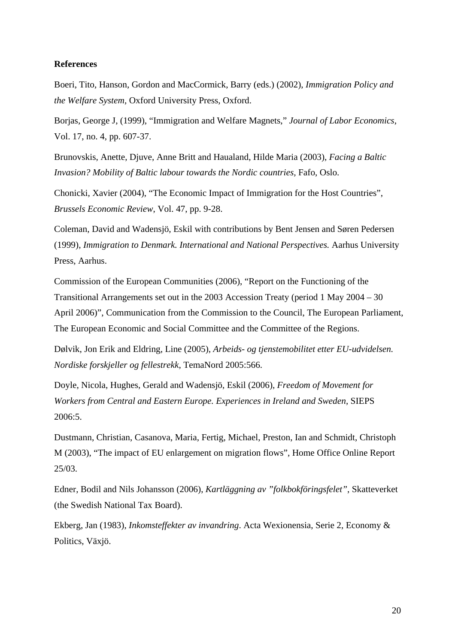### **References**

Boeri, Tito, Hanson, Gordon and MacCormick, Barry (eds.) (2002), *Immigration Policy and the Welfare System*, Oxford University Press, Oxford.

Borjas, George J, (1999), "Immigration and Welfare Magnets," *Journal of Labor Economics*, Vol. 17, no. 4, pp. 607-37.

Brunovskis, Anette, Djuve, Anne Britt and Haualand, Hilde Maria (2003), *Facing a Baltic Invasion? Mobility of Baltic labour towards the Nordic countries,* Fafo, Oslo.

Chonicki, Xavier (2004), "The Economic Impact of Immigration for the Host Countries", *Brussels Economic Review*, Vol. 47, pp. 9-28.

Coleman, David and Wadensjö, Eskil with contributions by Bent Jensen and Søren Pedersen (1999), *Immigration to Denmark. International and National Perspectives.* Aarhus University Press, Aarhus.

Commission of the European Communities (2006), "Report on the Functioning of the Transitional Arrangements set out in the 2003 Accession Treaty (period 1 May 2004 – 30 April 2006)", Communication from the Commission to the Council, The European Parliament, The European Economic and Social Committee and the Committee of the Regions.

Dølvik, Jon Erik and Eldring, Line (2005), *Arbeids- og tjenstemobilitet etter EU-udvidelsen. Nordiske forskjeller og fellestrekk*, TemaNord 2005:566.

Doyle, Nicola, Hughes, Gerald and Wadensjö, Eskil (2006), *Freedom of Movement for Workers from Central and Eastern Europe. Experiences in Ireland and Sweden*, SIEPS 2006:5.

Dustmann, Christian, Casanova, Maria, Fertig, Michael, Preston, Ian and Schmidt, Christoph M (2003), "The impact of EU enlargement on migration flows", Home Office Online Report 25/03.

Edner, Bodil and Nils Johansson (2006), *Kartläggning av "folkbokföringsfelet"*, Skatteverket (the Swedish National Tax Board).

Ekberg, Jan (1983), *Inkomsteffekter av invandring*. Acta Wexionensia, Serie 2, Economy & Politics, Växjö.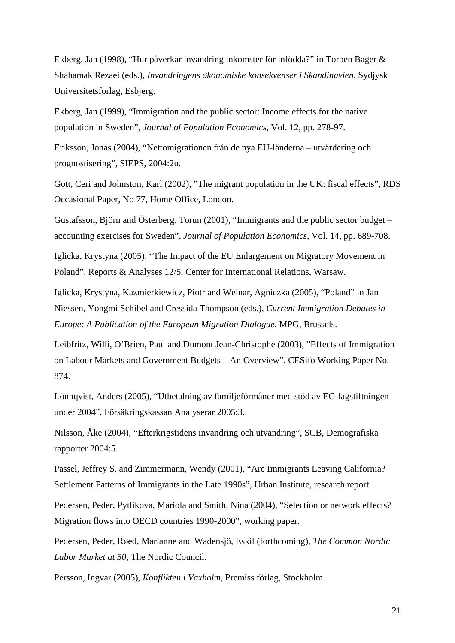Ekberg, Jan (1998), "Hur påverkar invandring inkomster för infödda?" in Torben Bager & Shahamak Rezaei (eds.), *Invandringens økonomiske konsekvenser i Skandinavien,* Sydjysk Universitetsforlag, Esbjerg.

Ekberg, Jan (1999), "Immigration and the public sector: Income effects for the native population in Sweden", *Journal of Population Economics*, Vol. 12, pp. 278-97.

Eriksson, Jonas (2004), "Nettomigrationen från de nya EU-länderna – utvärdering och prognostisering", SIEPS, 2004:2u.

Gott, Ceri and Johnston, Karl (2002), "The migrant population in the UK: fiscal effects", RDS Occasional Paper, No 77, Home Office, London.

Gustafsson, Björn and Österberg, Torun (2001), "Immigrants and the public sector budget – accounting exercises for Sweden", *Journal of Population Economics*, Vol. 14, pp. 689-708.

Iglicka, Krystyna (2005), "The Impact of the EU Enlargement on Migratory Movement in Poland", Reports & Analyses 12/5, Center for International Relations, Warsaw.

Iglicka, Krystyna, Kazmierkiewicz, Piotr and Weinar, Agniezka (2005), "Poland" in Jan Niessen, Yongmi Schibel and Cressida Thompson (eds.), *Current Immigration Debates in Europe: A Publication of the European Migration Dialogue*, MPG, Brussels.

Leibfritz, Willi, O'Brien, Paul and Dumont Jean-Christophe (2003), "Effects of Immigration on Labour Markets and Government Budgets – An Overview", CESifo Working Paper No. 874.

Lönnqvist, Anders (2005), "Utbetalning av familjeförmåner med stöd av EG-lagstiftningen under 2004", Försäkringskassan Analyserar 2005:3.

Nilsson, Åke (2004), "Efterkrigstidens invandring och utvandring", SCB, Demografiska rapporter 2004:5.

Passel, Jeffrey S. and Zimmermann, Wendy (2001), "Are Immigrants Leaving California? Settlement Patterns of Immigrants in the Late 1990s", Urban Institute, research report.

Pedersen, Peder, Pytlikova, Mariola and Smith, Nina (2004), "Selection or network effects? Migration flows into OECD countries 1990-2000", working paper.

Pedersen, Peder, Røed, Marianne and Wadensjö, Eskil (forthcoming), *The Common Nordic Labor Market at 50*, The Nordic Council.

Persson, Ingvar (2005), *Konflikten i Vaxholm*, Premiss förlag, Stockholm.